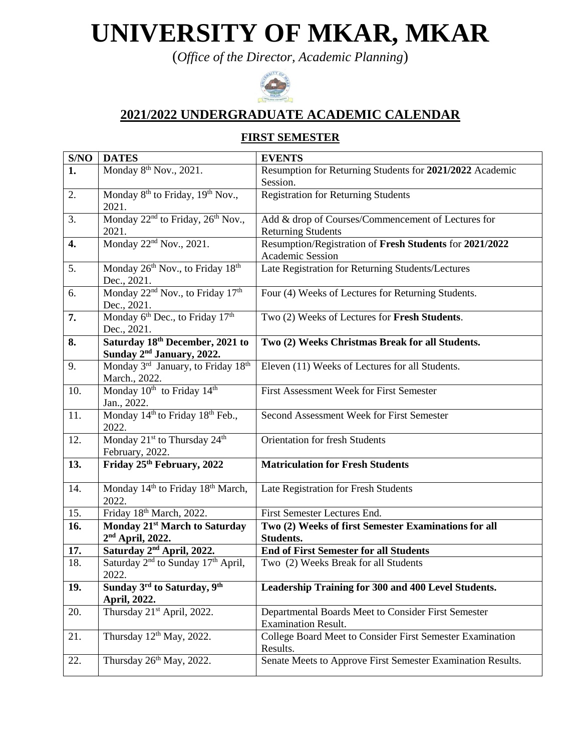# **UNIVERSITY OF MKAR, MKAR**

(*Office of the Director, Academic Planning*)



### **2021/2022 UNDERGRADUATE ACADEMIC CALENDAR**

#### **FIRST SEMESTER**

| S/NO | <b>DATES</b>                                               | <b>EVENTS</b>                                               |  |  |
|------|------------------------------------------------------------|-------------------------------------------------------------|--|--|
| 1.   | Monday 8 <sup>th</sup> Nov., 2021.                         | Resumption for Returning Students for 2021/2022 Academic    |  |  |
|      |                                                            | Session.                                                    |  |  |
| 2.   | Monday 8 <sup>th</sup> to Friday, 19 <sup>th</sup> Nov.,   | <b>Registration for Returning Students</b>                  |  |  |
|      | 2021.                                                      |                                                             |  |  |
| 3.   | Monday 22 <sup>nd</sup> to Friday, 26 <sup>th</sup> Nov.,  | Add & drop of Courses/Commencement of Lectures for          |  |  |
|      | 2021.                                                      | <b>Returning Students</b>                                   |  |  |
| 4.   | Monday 22 <sup>nd</sup> Nov., 2021.                        | Resumption/Registration of Fresh Students for 2021/2022     |  |  |
|      |                                                            | Academic Session                                            |  |  |
| 5.   | Monday 26th Nov., to Friday 18th                           | Late Registration for Returning Students/Lectures           |  |  |
|      | Dec., 2021.                                                |                                                             |  |  |
| 6.   | Monday 22 <sup>nd</sup> Nov., to Friday 17 <sup>th</sup>   | Four (4) Weeks of Lectures for Returning Students.          |  |  |
|      | Dec., 2021.                                                |                                                             |  |  |
| 7.   | Monday 6 <sup>th</sup> Dec., to Friday 17 <sup>th</sup>    | Two (2) Weeks of Lectures for Fresh Students.               |  |  |
|      | Dec., 2021.                                                |                                                             |  |  |
| 8.   | Saturday 18th December, 2021 to                            | Two (2) Weeks Christmas Break for all Students.             |  |  |
|      | Sunday 2 <sup>nd</sup> January, 2022.                      |                                                             |  |  |
| 9.   | Monday 3rd January, to Friday 18th                         | Eleven (11) Weeks of Lectures for all Students.             |  |  |
|      | March., 2022.                                              |                                                             |  |  |
| 10.  | Monday 10 <sup>th</sup> to Friday 14 <sup>th</sup>         | First Assessment Week for First Semester                    |  |  |
|      | Jan., 2022.                                                |                                                             |  |  |
| 11.  | Monday 14 <sup>th</sup> to Friday 18 <sup>th</sup> Feb.,   | Second Assessment Week for First Semester                   |  |  |
|      | 2022.                                                      |                                                             |  |  |
| 12.  | Monday 21 <sup>st</sup> to Thursday 24 <sup>th</sup>       | <b>Orientation for fresh Students</b>                       |  |  |
|      | February, 2022.                                            |                                                             |  |  |
| 13.  | Friday 25th February, 2022                                 | <b>Matriculation for Fresh Students</b>                     |  |  |
|      |                                                            |                                                             |  |  |
| 14.  | Monday 14 <sup>th</sup> to Friday 18 <sup>th</sup> March,  | Late Registration for Fresh Students                        |  |  |
|      | 2022.                                                      |                                                             |  |  |
| 15.  | Friday 18th March, 2022.                                   | First Semester Lectures End.                                |  |  |
| 16.  | Monday 21 <sup>st</sup> March to Saturday                  | Two (2) Weeks of first Semester Examinations for all        |  |  |
|      | $2nd$ April, 2022.                                         | <b>Students.</b>                                            |  |  |
| 17.  | Saturday 2 <sup>nd</sup> April, 2022.                      | <b>End of First Semester for all Students</b>               |  |  |
| 18.  | Saturday 2 <sup>nd</sup> to Sunday 17 <sup>th</sup> April, | Two (2) Weeks Break for all Students                        |  |  |
|      | 2022.                                                      |                                                             |  |  |
| 19.  | Sunday 3 <sup>rd</sup> to Saturday, 9 <sup>th</sup>        | Leadership Training for 300 and 400 Level Students.         |  |  |
|      | April, 2022.                                               |                                                             |  |  |
| 20.  | Thursday 21 <sup>st</sup> April, 2022.                     | Departmental Boards Meet to Consider First Semester         |  |  |
|      |                                                            | <b>Examination Result.</b>                                  |  |  |
| 21.  | Thursday $12^{th}$ May, 2022.                              | College Board Meet to Consider First Semester Examination   |  |  |
|      |                                                            | Results.                                                    |  |  |
| 22.  | Thursday 26 <sup>th</sup> May, 2022.                       | Senate Meets to Approve First Semester Examination Results. |  |  |
|      |                                                            |                                                             |  |  |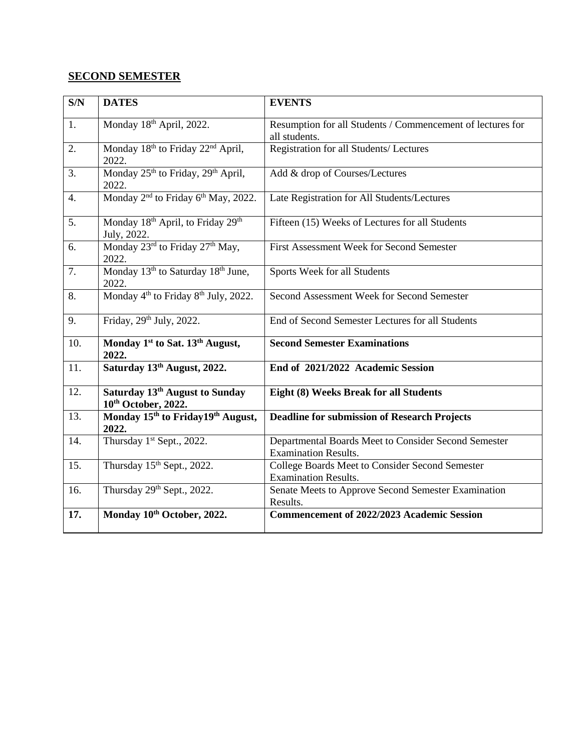#### **SECOND SEMESTER**

| S/N              | <b>DATES</b>                                                             | <b>EVENTS</b>                                                                       |  |  |
|------------------|--------------------------------------------------------------------------|-------------------------------------------------------------------------------------|--|--|
| 1.               | Monday 18th April, 2022.                                                 | Resumption for all Students / Commencement of lectures for<br>all students.         |  |  |
| 2.               | Monday 18 <sup>th</sup> to Friday 22 <sup>nd</sup> April,<br>2022.       | Registration for all Students/ Lectures                                             |  |  |
| 3.               | Monday 25 <sup>th</sup> to Friday, 29 <sup>th</sup> April,<br>2022.      | Add & drop of Courses/Lectures                                                      |  |  |
| $\overline{4}$ . | Monday 2 <sup>nd</sup> to Friday 6 <sup>th</sup> May, 2022.              | Late Registration for All Students/Lectures                                         |  |  |
| 5.               | Monday 18 <sup>th</sup> April, to Friday 29 <sup>th</sup><br>July, 2022. | Fifteen (15) Weeks of Lectures for all Students                                     |  |  |
| 6.               | Monday 23rd to Friday 27th May,<br>2022.                                 | First Assessment Week for Second Semester                                           |  |  |
| 7.               | Monday 13 <sup>th</sup> to Saturday 18 <sup>th</sup> June,<br>2022.      | Sports Week for all Students                                                        |  |  |
| 8.               | Monday 4 <sup>th</sup> to Friday 8 <sup>th</sup> July, 2022.             | Second Assessment Week for Second Semester                                          |  |  |
| 9.               | Friday, 29th July, 2022.                                                 | End of Second Semester Lectures for all Students                                    |  |  |
| 10.              | Monday 1 <sup>st</sup> to Sat. 13 <sup>th</sup> August,<br>2022.         | <b>Second Semester Examinations</b>                                                 |  |  |
| 11.              | Saturday 13th August, 2022.                                              | End of 2021/2022 Academic Session                                                   |  |  |
| 12.              | Saturday 13th August to Sunday<br>10th October, 2022.                    | Eight (8) Weeks Break for all Students                                              |  |  |
| 13.              | Monday 15 <sup>th</sup> to Friday19 <sup>th</sup> August,<br>2022.       | <b>Deadline for submission of Research Projects</b>                                 |  |  |
| 14.              | Thursday 1 <sup>st</sup> Sept., 2022.                                    | Departmental Boards Meet to Consider Second Semester<br><b>Examination Results.</b> |  |  |
| 15.              | Thursday 15th Sept., 2022.                                               | College Boards Meet to Consider Second Semester<br><b>Examination Results.</b>      |  |  |
| 16.              | Thursday 29th Sept., 2022.                                               | Senate Meets to Approve Second Semester Examination<br>Results.                     |  |  |
| 17.              | Monday 10th October, 2022.                                               | <b>Commencement of 2022/2023 Academic Session</b>                                   |  |  |